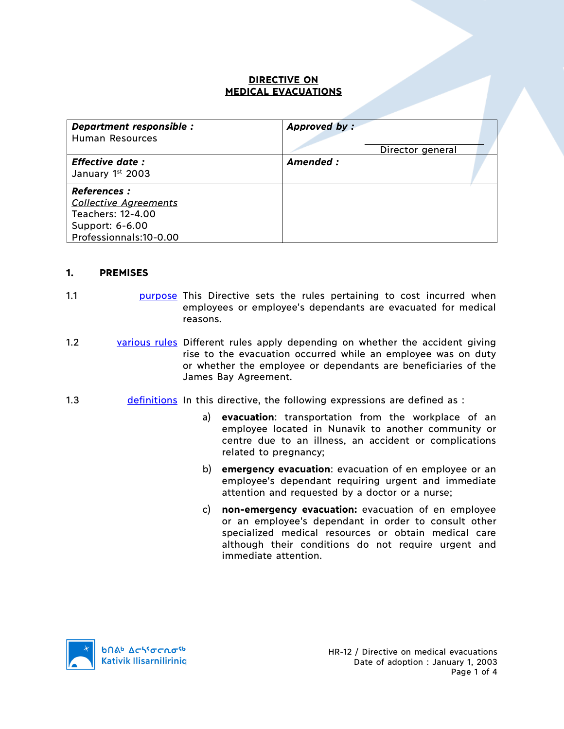# **DIRECTIVE ON MEDICAL EVACUATIONS**

| Department responsible :<br><b>Human Resources</b>                                                                    | Approved by:<br>Director general |
|-----------------------------------------------------------------------------------------------------------------------|----------------------------------|
| <b>Effective date:</b><br>January 1st 2003                                                                            | Amended :                        |
| <b>References :</b><br><b>Collective Agreements</b><br>Teachers: 12-4.00<br>Support: 6-6.00<br>Professionnals:10-0.00 |                                  |

#### **1. PREMISES**

- 1.1 **purpose** This Directive sets the rules pertaining to cost incurred when employees or employee's dependants are evacuated for medical reasons.
- 1.2 various rules Different rules apply depending on whether the accident giving rise to the evacuation occurred while an employee was on duty or whether the employee or dependants are beneficiaries of the James Bay Agreement.
- 1.3 **definitions** In this directive, the following expressions are defined as :
	- a) **evacuation**: transportation from the workplace of an employee located in Nunavik to another community or centre due to an illness, an accident or complications related to pregnancy;
	- b) **emergency evacuation**: evacuation of en employee or an employee's dependant requiring urgent and immediate attention and requested by a doctor or a nurse;
	- c) **non-emergency evacuation:** evacuation of en employee or an employee's dependant in order to consult other specialized medical resources or obtain medical care although their conditions do not require urgent and immediate attention.

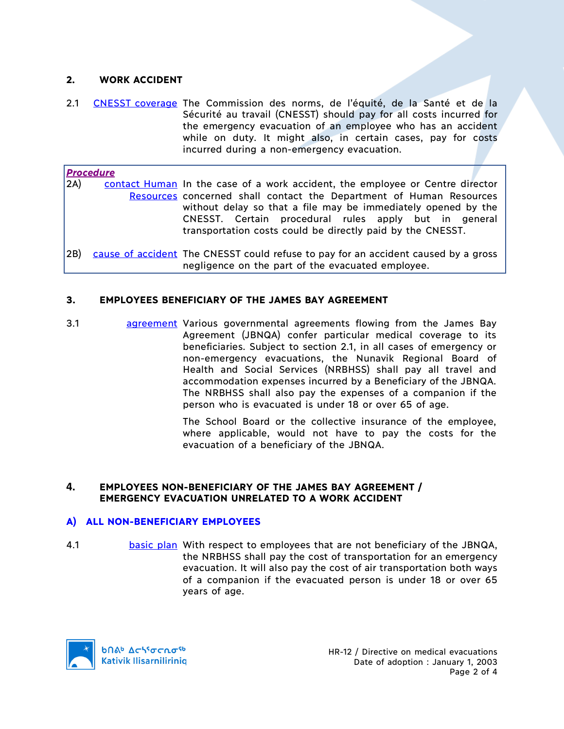# **2. WORK ACCIDENT**

2.1 CNESST coverage The Commission des norms, de l'équité, de la Santé et de la Sécurité au travail (CNESST) should pay for all costs incurred for the emergency evacuation of an employee who has an accident while on duty. It might also, in certain cases, pay for costs incurred during a non-emergency evacuation.

*Procedure* 2A) contact Human In the case of a work accident, the employee or Centre director Resources concerned shall contact the Department of Human Resources without delay so that a file may be immediately opened by the CNESST. Certain procedural rules apply but in general transportation costs could be directly paid by the CNESST.

2B) cause of accident The CNESST could refuse to pay for an accident caused by a gross negligence on the part of the evacuated employee.

### **3. EMPLOYEES BENEFICIARY OF THE JAMES BAY AGREEMENT**

3.1 agreement Various governmental agreements flowing from the James Bay Agreement (JBNQA) confer particular medical coverage to its beneficiaries. Subject to section 2.1, in all cases of emergency or non-emergency evacuations, the Nunavik Regional Board of Health and Social Services (NRBHSS) shall pay all travel and accommodation expenses incurred by a Beneficiary of the JBNQA. The NRBHSS shall also pay the expenses of a companion if the person who is evacuated is under 18 or over 65 of age.

> The School Board or the collective insurance of the employee, where applicable, would not have to pay the costs for the evacuation of a beneficiary of the JBNQA.

### **4. EMPLOYEES NON-BENEFICIARY OF THE JAMES BAY AGREEMENT / EMERGENCY EVACUATION UNRELATED TO A WORK ACCIDENT**

#### **A) ALL NON-BENEFICIARY EMPLOYEES**

4.1 **basic plan** With respect to employees that are not beneficiary of the JBNQA, the NRBHSS shall pay the cost of transportation for an emergency evacuation. It will also pay the cost of air transportation both ways of a companion if the evacuated person is under 18 or over 65 years of age.

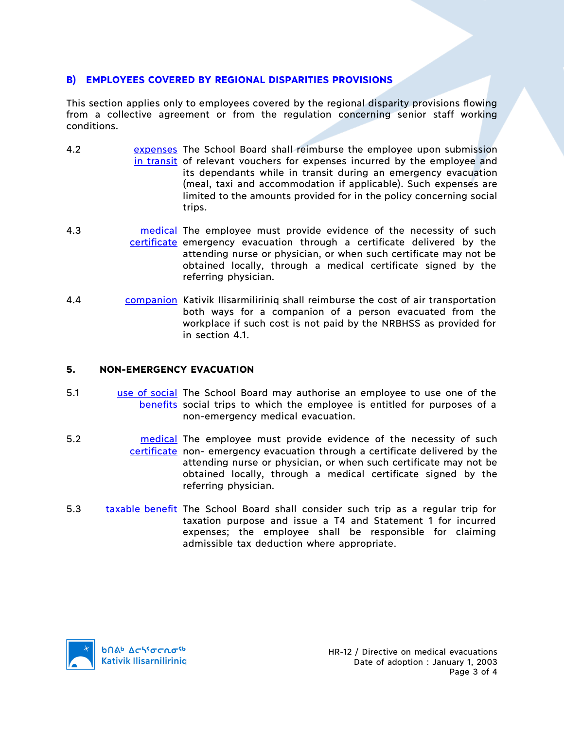# **B) EMPLOYEES COVERED BY REGIONAL DISPARITIES PROVISIONS**

This section applies only to employees covered by the regional disparity provisions flowing from a collective agreement or from the regulation concerning senior staff working conditions.

- 4.2 **EXPERSES EXPERSES** The School Board shall reimburse the employee upon submission in transit of relevant vouchers for expenses incurred by the employee and its dependants while in transit during an emergency evacuation (meal, taxi and accommodation if applicable). Such expenses are limited to the amounts provided for in the policy concerning social trips.
- 4.3 **medical** The employee must provide evidence of the necessity of such certificate emergency evacuation through a certificate delivered by the attending nurse or physician, or when such certificate may not be obtained locally, through a medical certificate signed by the referring physician.
- 4.4 **companion** Kativik Ilisarmiliriniq shall reimburse the cost of air transportation both ways for a companion of a person evacuated from the workplace if such cost is not paid by the NRBHSS as provided for in section 4.1.

# **5. NON-EMERGENCY EVACUATION**

- 5.1 use of social The School Board may authorise an employee to use one of the benefits social trips to which the employee is entitled for purposes of a non-emergency medical evacuation.
- 5.2 **medical** The employee must provide evidence of the necessity of such certificate non- emergency evacuation through a certificate delivered by the attending nurse or physician, or when such certificate may not be obtained locally, through a medical certificate signed by the referring physician.
- 5.3 taxable benefit The School Board shall consider such trip as a regular trip for taxation purpose and issue a T4 and Statement 1 for incurred expenses; the employee shall be responsible for claiming admissible tax deduction where appropriate.